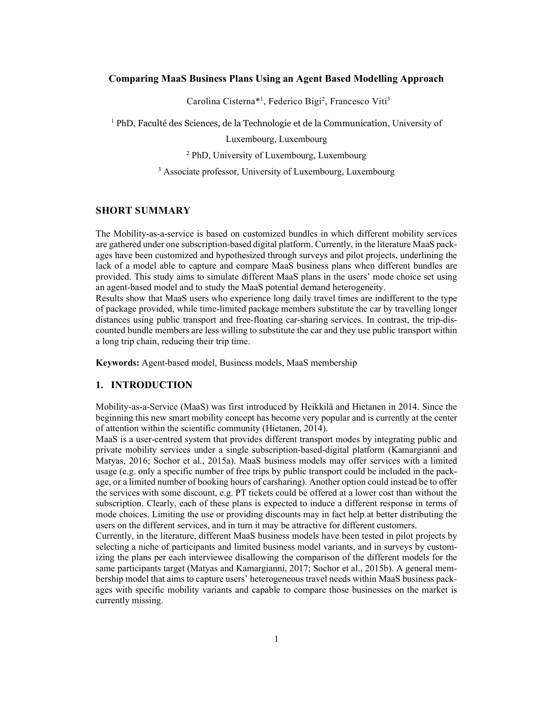### Comparing MaaS Business Plans Using an Agent Based Modelling Approach

Carolina Cisterna<sup>\*1</sup>, Federico Bigi<sup>2</sup>, Francesco Viti<sup>3</sup>

<sup>1</sup> PhD, Faculté des Sciences, de la Technologie et de la Communication, University of

Luxembourg, Luxembourg

2 PhD, University of Luxembourg, Luxembourg

<sup>3</sup> Associate professor, University of Luxembourg, Luxembourg

### SHORT SUMMARY

The Mobility-as-a-service is based on customized bundles in which different mobility services are gathered under one subscription-based digital platform. Currently, in the literature MaaS packages have been customized and hypothesized through surveys and pilot projects, underlining the lack of a model able to capture and compare MaaS business plans when different bundles are provided. This study aims to simulate different MaaS plans in the users' mode choice set using an agent-based model and to study the MaaS potential demand heterogeneity.

Results show that MaaS users who experience long daily travel times are indifferent to the type of package provided, while time-limited package members substitute the car by travelling longer distances using public transport and free-floating car-sharing services. In contrast, the trip-discounted bundle members are less willing to substitute the car and they use public transport within a long trip chain, reducing their trip time.

Keywords: Agent-based model, Business models, MaaS membership

#### 1. INTRODUCTION

Mobility-as-a-Service (MaaS) was first introduced by Heikkilä and Hietanen in 2014. Since the beginning this new smart mobility concept has become very popular and is currently at the center of attention within the scientific community (Hietanen, 2014).

MaaS is a user-centred system that provides different transport modes by integrating public and private mobility services under a single subscription-based-digital platform (Kamargianni and Matyas, 2016; Sochor et al., 2015a). MaaS business models may offer services with a limited usage (e.g. only a specific number of free trips by public transport could be included in the package, or a limited number of booking hours of carsharing). Another option could instead be to offer the services with some discount, e.g. PT tickets could be offered at a lower cost than without the subscription. Clearly, each of these plans is expected to induce a different response in terms of mode choices. Limiting the use or providing discounts may in fact help at better distributing the users on the different services, and in turn it may be attractive for different customers.

Currently, in the literature, different MaaS business models have been tested in pilot projects by selecting a niche of participants and limited business model variants, and in surveys by customizing the plans per each interviewee disallowing the comparison of the different models for the same participants target (Matyas and Kamargianni, 2017; Sochor et al., 2015b). A general membership model that aims to capture users' heterogeneous travel needs within MaaS business packages with specific mobility variants and capable to compare those businesses on the market is currently missing.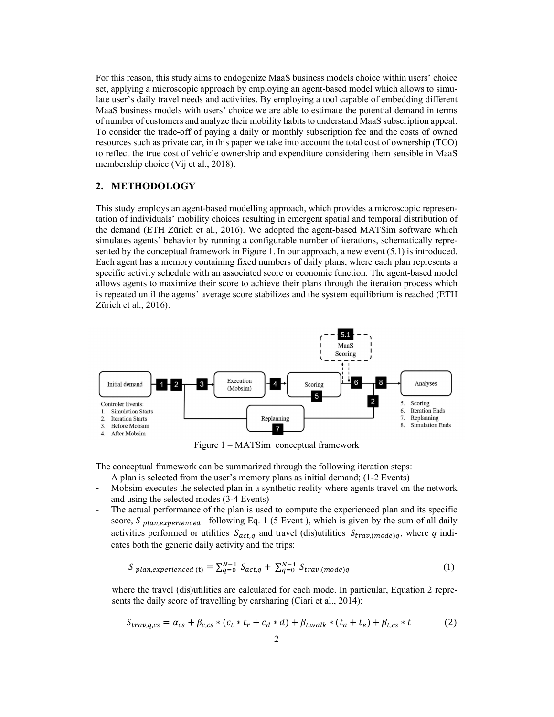For this reason, this study aims to endogenize MaaS business models choice within users' choice set, applying a microscopic approach by employing an agent-based model which allows to simulate user's daily travel needs and activities. By employing a tool capable of embedding different MaaS business models with users' choice we are able to estimate the potential demand in terms of number of customers and analyze their mobility habits to understand MaaS subscription appeal. To consider the trade-off of paying a daily or monthly subscription fee and the costs of owned resources such as private car, in this paper we take into account the total cost of ownership (TCO) to reflect the true cost of vehicle ownership and expenditure considering them sensible in MaaS membership choice (Vij et al., 2018).

### 2. METHODOLOGY

This study employs an agent-based modelling approach, which provides a microscopic representation of individuals' mobility choices resulting in emergent spatial and temporal distribution of the demand (ETH Zürich et al., 2016). We adopted the agent-based MATSim software which simulates agents' behavior by running a configurable number of iterations, schematically represented by the conceptual framework in Figure 1. In our approach, a new event (5.1) is introduced. Each agent has a memory containing fixed numbers of daily plans, where each plan represents a specific activity schedule with an associated score or economic function. The agent-based model allows agents to maximize their score to achieve their plans through the iteration process which is repeated until the agents' average score stabilizes and the system equilibrium is reached (ETH Zürich et al., 2016).



Figure 1 – MATSim conceptual framework

The conceptual framework can be summarized through the following iteration steps:

- A plan is selected from the user's memory plans as initial demand; (1-2 Events)
- Mobsim executes the selected plan in a synthetic reality where agents travel on the network and using the selected modes (3-4 Events)
- The actual performance of the plan is used to compute the experienced plan and its specific score,  $S_{plan, experienced}$  following Eq. 1 (5 Event ), which is given by the sum of all daily activities performed or utilities  $S_{act,q}$  and travel (dis)utilities  $S_{trav,(mode)q}$ , where q indicates both the generic daily activity and the trips:

$$
S_{plan, experienced(t)} = \sum_{q=0}^{N-1} S_{act,q} + \sum_{q=0}^{N-1} S_{trav,(mode)q}
$$
 (1)

where the travel (dis)utilities are calculated for each mode. In particular, Equation 2 represents the daily score of travelling by carsharing (Ciari et al., 2014):

$$
S_{trav,q,cs} = \alpha_{cs} + \beta_{c,cs} * (c_t * t_r + c_d * d) + \beta_{t,walk} * (t_a + t_e) + \beta_{t,cs} * t
$$
 (2)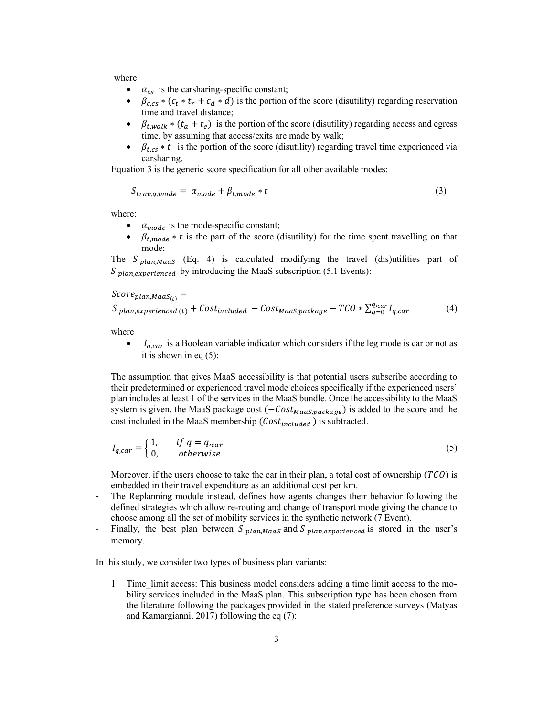where:

- $\bullet$   $\alpha_{cs}$  is the carsharing-specific constant;
- $\beta_{c,cs} * (c_t * t_r + c_d * d)$  is the portion of the score (disutility) regarding reservation time and travel distance;
- $\beta_{t, walk} * (t_a + t_e)$  is the portion of the score (disutility) regarding access and egress time, by assuming that access/exits are made by walk;
- $\beta_{t,cs} * t$  is the portion of the score (disutility) regarding travel time experienced via carsharing.

Equation 3 is the generic score specification for all other available modes:

$$
S_{trav,q,mode} = \alpha_{mode} + \beta_{t,mode} * t \tag{3}
$$

where:

- $\alpha_{mode}$  is the mode-specific constant;
- $\beta_{t, mode} * t$  is the part of the score (disutility) for the time spent travelling on that mode;

The  $S_{plan\text{Mgas}}$  (Eq. 4) is calculated modifying the travel (dis)utilities part of  $S<sub>plan-experience</sub>$  by introducing the MaaS subscription (5.1 Events):

 $Score_{plan,Maas_{(t)}} =$ 

$$
S_{plan, experienced(t)} + Cost_{included} - Cost_{Maas, package} - TCO * \sum_{q=0}^{q_{car}} I_{q, car}
$$
 (4)

where

 $I_{q, car}$  is a Boolean variable indicator which considers if the leg mode is car or not as it is shown in eq (5):

The assumption that gives MaaS accessibility is that potential users subscribe according to their predetermined or experienced travel mode choices specifically if the experienced users' plan includes at least 1 of the services in the MaaS bundle. Once the accessibility to the MaaS system is given, the MaaS package cost  $(-\text{Cost}_{\text{Maas}, \text{package}})$  is added to the score and the cost included in the MaaS membership  $(Cost_{including})$  is subtracted.

$$
I_{q, car} = \begin{cases} 1, & if \ q = q_{, car} \\ 0, & otherwise \end{cases}
$$
 (5)

Moreover, if the users choose to take the car in their plan, a total cost of ownership  $(TCO)$  is embedded in their travel expenditure as an additional cost per km.

- The Replanning module instead, defines how agents changes their behavior following the defined strategies which allow re-routing and change of transport mode giving the chance to choose among all the set of mobility services in the synthetic network (7 Event).
- Finally, the best plan between  $S_{planMaaS}$  and  $S_{planex perience}$  is stored in the user's memory.

In this study, we consider two types of business plan variants:

1. Time\_limit access: This business model considers adding a time limit access to the mobility services included in the MaaS plan. This subscription type has been chosen from the literature following the packages provided in the stated preference surveys (Matyas and Kamargianni, 2017) following the eq (7):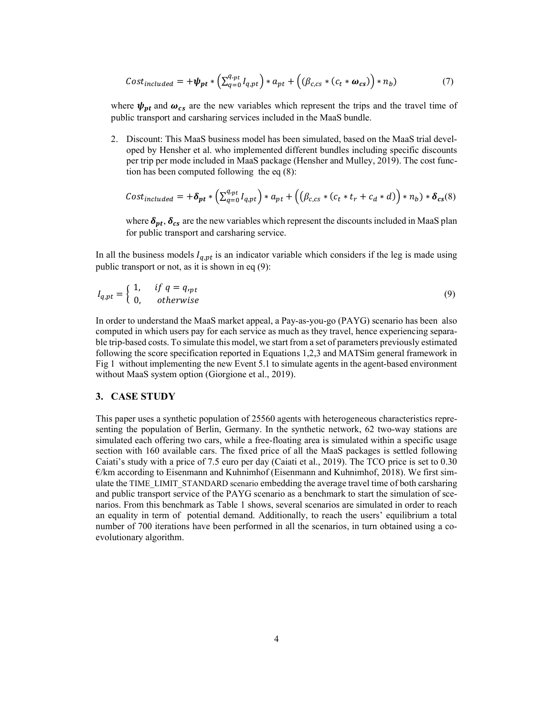$$
Cost_{included} = +\psi_{pt} * \left( \sum_{q=0}^{q_{\text{opt}}} I_{q,\text{pt}} \right) * a_{pt} + \left( \left( \beta_{c,cs} * \left( c_t * \omega_{cs} \right) \right) * n_b \right) \tag{7}
$$

where  $\psi_{pt}$  and  $\omega_{cs}$  are the new variables which represent the trips and the travel time of public transport and carsharing services included in the MaaS bundle.

2. Discount: This MaaS business model has been simulated, based on the MaaS trial developed by Hensher et al. who implemented different bundles including specific discounts per trip per mode included in MaaS package (Hensher and Mulley, 2019). The cost function has been computed following the eq (8):

$$
Cost_{included} = +\delta_{pt} * \left( \sum_{q=0}^{q_{\text{opt}}} I_{q,\text{pt}} \right) * a_{pt} + \left( \left( \beta_{c,cs} * (c_t * t_r + c_d * d) \right) * n_b \right) * \delta_{cs}(8)
$$

where  $\delta_{pt}$ ,  $\delta_{cs}$  are the new variables which represent the discounts included in MaaS plan for public transport and carsharing service.

In all the business models  $I_{q,pt}$  is an indicator variable which considers if the leg is made using public transport or not, as it is shown in eq (9):

$$
I_{q,pt} = \begin{cases} 1, & if \ q = q_{\text{ppt}} \\ 0, & otherwise \end{cases}
$$
 (9)

In order to understand the MaaS market appeal, a Pay-as-you-go (PAYG) scenario has been also computed in which users pay for each service as much as they travel, hence experiencing separable trip-based costs. To simulate this model, we start from a set of parameters previously estimated following the score specification reported in Equations 1,2,3 and MATSim general framework in Fig 1 without implementing the new Event 5.1 to simulate agents in the agent-based environment without MaaS system option (Giorgione et al., 2019).

#### 3. CASE STUDY

This paper uses a synthetic population of 25560 agents with heterogeneous characteristics representing the population of Berlin, Germany. In the synthetic network, 62 two-way stations are simulated each offering two cars, while a free-floating area is simulated within a specific usage section with 160 available cars. The fixed price of all the MaaS packages is settled following Caiati's study with a price of 7.5 euro per day (Caiati et al., 2019). The TCO price is set to 0.30  $\epsilon$ /km according to Eisenmann and Kuhnimhof (Eisenmann and Kuhnimhof, 2018). We first simulate the TIME\_LIMIT\_STANDARD scenario embedding the average travel time of both carsharing and public transport service of the PAYG scenario as a benchmark to start the simulation of scenarios. From this benchmark as Table 1 shows, several scenarios are simulated in order to reach an equality in term of potential demand. Additionally, to reach the users' equilibrium a total number of 700 iterations have been performed in all the scenarios, in turn obtained using a coevolutionary algorithm.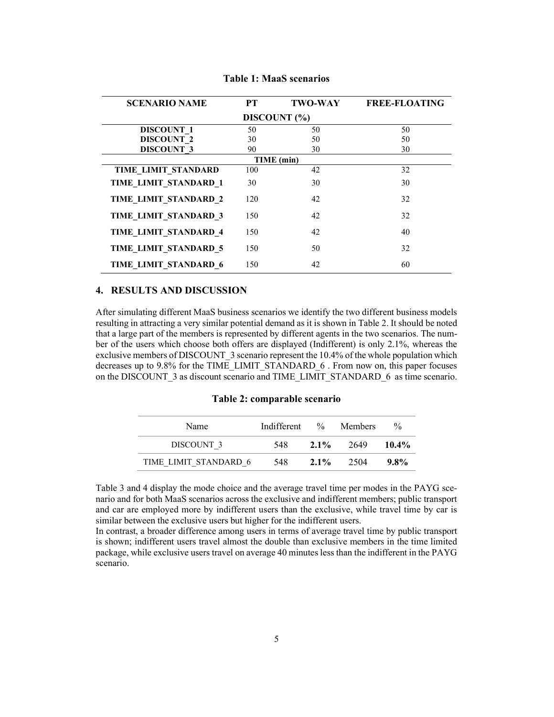| <b>SCENARIO NAME</b>  | <b>PT</b> | <b>TWO-WAY</b> | <b>FREE-FLOATING</b> |  |  |  |  |  |  |
|-----------------------|-----------|----------------|----------------------|--|--|--|--|--|--|
| DISCOUNT (%)          |           |                |                      |  |  |  |  |  |  |
| <b>DISCOUNT 1</b>     | 50        | 50             | 50                   |  |  |  |  |  |  |
| <b>DISCOUNT 2</b>     | 30        | 50             | 50                   |  |  |  |  |  |  |
| <b>DISCOUNT 3</b>     | 90        | 30             | 30                   |  |  |  |  |  |  |
|                       |           | TIME (min)     |                      |  |  |  |  |  |  |
| TIME LIMIT STANDARD   | 100       | 42             | 32                   |  |  |  |  |  |  |
| TIME LIMIT STANDARD 1 | 30        | 30             | 30                   |  |  |  |  |  |  |
| TIME LIMIT STANDARD 2 | 120       | 42             | 32                   |  |  |  |  |  |  |
| TIME LIMIT STANDARD 3 | 150       | 42             | 32                   |  |  |  |  |  |  |
| TIME_LIMIT_STANDARD_4 | 150       | 42             | 40                   |  |  |  |  |  |  |
| TIME LIMIT STANDARD 5 | 150       | 50             | 32                   |  |  |  |  |  |  |
| TIME LIMIT STANDARD 6 | 150       | 42             | 60                   |  |  |  |  |  |  |

Table 1: MaaS scenarios

### 4. RESULTS AND DISCUSSION

After simulating different MaaS business scenarios we identify the two different business models resulting in attracting a very similar potential demand as it is shown in Table 2. It should be noted that a large part of the members is represented by different agents in the two scenarios. The number of the users which choose both offers are displayed (Indifferent) is only 2.1%, whereas the exclusive members of DISCOUNT\_3 scenario represent the 10.4% of the whole population which decreases up to 9.8% for the TIME\_LIMIT\_STANDARD\_6 . From now on, this paper focuses on the DISCOUNT 3 as discount scenario and TIME\_LIMIT\_STANDARD\_6 as time scenario.

Table 2: comparable scenario

| Name                  | Indifferent |         | % Members | $\frac{0}{0}$ |
|-----------------------|-------------|---------|-----------|---------------|
| DISCOUNT 3            | 548.        | $2.1\%$ | - 2649    | $10.4\%$      |
| TIME LIMIT STANDARD 6 | 548         | $2.1\%$ | -2504     | $9.8\%$       |

Table 3 and 4 display the mode choice and the average travel time per modes in the PAYG scenario and for both MaaS scenarios across the exclusive and indifferent members; public transport and car are employed more by indifferent users than the exclusive, while travel time by car is similar between the exclusive users but higher for the indifferent users.

In contrast, a broader difference among users in terms of average travel time by public transport is shown; indifferent users travel almost the double than exclusive members in the time limited package, while exclusive users travel on average 40 minutes less than the indifferent in the PAYG scenario.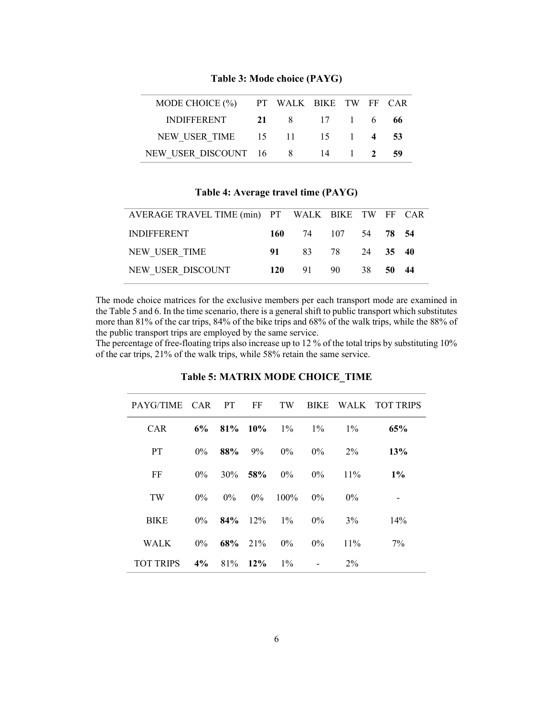| MODE CHOICE (%) PT WALK BIKE TW FF CAR |                |  |    |
|----------------------------------------|----------------|--|----|
| <b>INDIFFERENT</b>                     | 21 8 17 1 6 66 |  |    |
| NEW USER TIME 15 11 15 1 4 53          |                |  |    |
| NEW USER DISCOUNT 16 8 14 1 2          |                |  | 59 |

Table 3: Mode choice (PAYG)

## Table 4: Average travel time (PAYG)

| AVERAGE TRAVEL TIME (min) PT WALK BIKE TW FF CAR |                     |  |  |
|--------------------------------------------------|---------------------|--|--|
| <b>INDIFFERENT</b>                               | 160 74 107 54 78 54 |  |  |
| NEW USER TIME                                    | 91 83 78 24 35 40   |  |  |
| NEW USER DISCOUNT                                | 120 91 90 38 50 44  |  |  |
|                                                  |                     |  |  |

The mode choice matrices for the exclusive members per each transport mode are examined in the Table 5 and 6. In the time scenario, there is a general shift to public transport which substitutes more than 81% of the car trips, 84% of the bike trips and 68% of the walk trips, while the 88% of the public transport trips are employed by the same service.

The percentage of free-floating trips also increase up to 12 % of the total trips by substituting 10% of the car trips, 21% of the walk trips, while 58% retain the same service.

| PAYG/TIME CAR PT FF TW BIKE WALK TOTTRIPS |               |                     |                     |                               |        |       |
|-------------------------------------------|---------------|---------------------|---------------------|-------------------------------|--------|-------|
| <b>CAR</b>                                |               |                     |                     | 6\% 81\% 10\% 1\% 1\% 1\% 1\% |        | 65%   |
| <b>PT</b>                                 | $0\%$         | $88\%$ 9% 0%        |                     | $0\%$                         | $2\%$  | 13%   |
| FF                                        | $0\%$         | $30\%$ 58% $0\%$    |                     | $0\%$                         | $11\%$ | $1\%$ |
| <b>TW</b>                                 | $0\%$         |                     | $0\%$ $0\%$ $100\%$ | $0\%$                         | $0\%$  |       |
| <b>BIKE</b>                               |               |                     |                     | $0\%$ 84% 12% 1% 0% 3%        |        | 14%   |
| <b>WALK</b>                               |               | $0\%$ 68% 21% $0\%$ |                     | $0\%$                         | $11\%$ | $7\%$ |
| <b>TOT TRIPS</b>                          | $4\%$ 81% 12% |                     | $1\%$               |                               | $2\%$  |       |

## Table 5: MATRIX MODE CHOICE\_TIME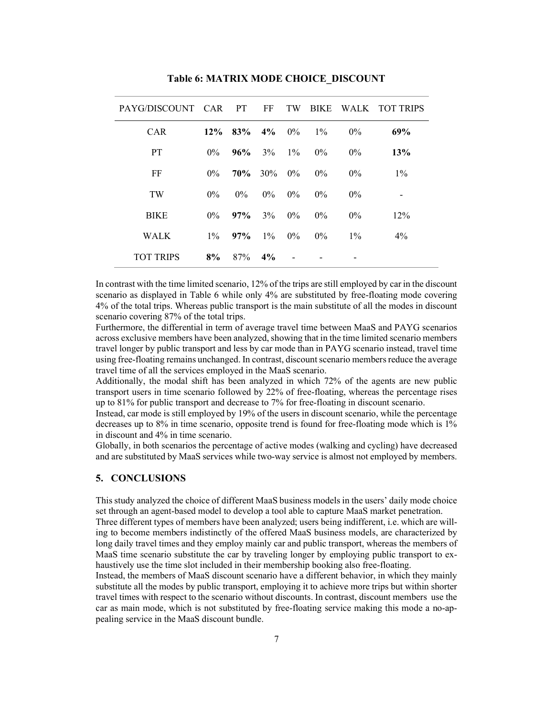| PAYG/DISCOUNT CAR |       | <b>PT</b> | FF    | TW    | <b>BIKE</b> |       | WALK TOT TRIPS |
|-------------------|-------|-----------|-------|-------|-------------|-------|----------------|
| <b>CAR</b>        | 12%   | 83%       | $4\%$ | $0\%$ | $1\%$       | $0\%$ | 69%            |
| <b>PT</b>         | $0\%$ | 96%       | 3%    | $1\%$ | $0\%$       | $0\%$ | 13%            |
| FF                | $0\%$ | 70%       | 30%   | $0\%$ | $0\%$       | $0\%$ | $1\%$          |
| TW                | $0\%$ | $0\%$     | $0\%$ | $0\%$ | $0\%$       | $0\%$ |                |
| <b>BIKE</b>       | $0\%$ | $97\%$    | 3%    | $0\%$ | $0\%$       | $0\%$ | 12%            |
| <b>WALK</b>       | $1\%$ | 97%       | $1\%$ | $0\%$ | $0\%$       | $1\%$ | $4\%$          |
| <b>TOT TRIPS</b>  | 8%    | 87%       | $4\%$ |       |             |       |                |

Table 6: MATRIX MODE CHOICE\_DISCOUNT

In contrast with the time limited scenario, 12% of the trips are still employed by car in the discount scenario as displayed in Table 6 while only 4% are substituted by free-floating mode covering 4% of the total trips. Whereas public transport is the main substitute of all the modes in discount scenario covering 87% of the total trips.

Furthermore, the differential in term of average travel time between MaaS and PAYG scenarios across exclusive members have been analyzed, showing that in the time limited scenario members travel longer by public transport and less by car mode than in PAYG scenario instead, travel time using free-floating remains unchanged. In contrast, discount scenario members reduce the average travel time of all the services employed in the MaaS scenario.

Additionally, the modal shift has been analyzed in which 72% of the agents are new public transport users in time scenario followed by 22% of free-floating, whereas the percentage rises up to 81% for public transport and decrease to 7% for free-floating in discount scenario.

Instead, car mode is still employed by 19% of the users in discount scenario, while the percentage decreases up to 8% in time scenario, opposite trend is found for free-floating mode which is 1% in discount and 4% in time scenario.

Globally, in both scenarios the percentage of active modes (walking and cycling) have decreased and are substituted by MaaS services while two-way service is almost not employed by members.

# 5. CONCLUSIONS

This study analyzed the choice of different MaaS business models in the users' daily mode choice set through an agent-based model to develop a tool able to capture MaaS market penetration.

Three different types of members have been analyzed; users being indifferent, i.e. which are willing to become members indistinctly of the offered MaaS business models, are characterized by long daily travel times and they employ mainly car and public transport, whereas the members of MaaS time scenario substitute the car by traveling longer by employing public transport to exhaustively use the time slot included in their membership booking also free-floating.

Instead, the members of MaaS discount scenario have a different behavior, in which they mainly substitute all the modes by public transport, employing it to achieve more trips but within shorter travel times with respect to the scenario without discounts. In contrast, discount members use the car as main mode, which is not substituted by free-floating service making this mode a no-appealing service in the MaaS discount bundle.